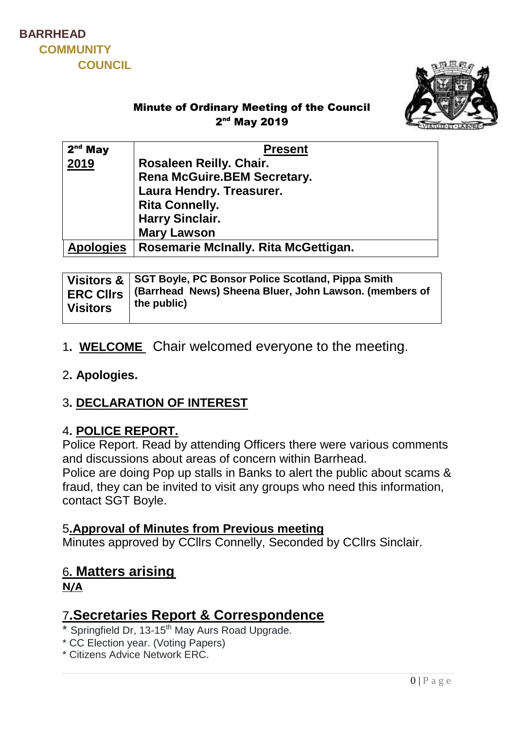



## Minute of Ordinary Meeting of the Council 2<sup>nd</sup> May 2019

| $2nd$ May        | <b>Present</b>                       |
|------------------|--------------------------------------|
| 2019             | Rosaleen Reilly. Chair.              |
|                  | <b>Rena McGuire.BEM Secretary.</b>   |
|                  | Laura Hendry. Treasurer.             |
|                  | <b>Rita Connelly.</b>                |
|                  | <b>Harry Sinclair.</b>               |
|                  | <b>Mary Lawson</b>                   |
| <b>Apologies</b> | Rosemarie McInally. Rita McGettigan. |

| <b>Visitors</b> | Visitors & SGT Boyle, PC Bonsor Police Scotland, Pippa Smith<br>ERC CIIrs   (Barrhead News) Sheena Bluer, John Lawson. (members of<br>the public) |
|-----------------|---------------------------------------------------------------------------------------------------------------------------------------------------|
|-----------------|---------------------------------------------------------------------------------------------------------------------------------------------------|

## 1**. WELCOME** Chair welcomed everyone to the meeting.

#### 2**. Apologies.**

### 3**. DECLARATION OF INTEREST**

### 4**. POLICE REPORT.**

Police Report. Read by attending Officers there were various comments and discussions about areas of concern within Barrhead. Police are doing Pop up stalls in Banks to alert the public about scams & fraud, they can be invited to visit any groups who need this information, contact SGT Boyle.

#### 5**.Approval of Minutes from Previous meeting**

Minutes approved by CCllrs Connelly, Seconded by CCllrs Sinclair.

### 6**. Matters arising**

**N/A**

# 7**.Secretaries Report & Correspondence**

- $*$  Springfield Dr, 13-15<sup>th</sup> May Aurs Road Upgrade.
- \* CC Election year. (Voting Papers)
- \* Citizens Advice Network ERC.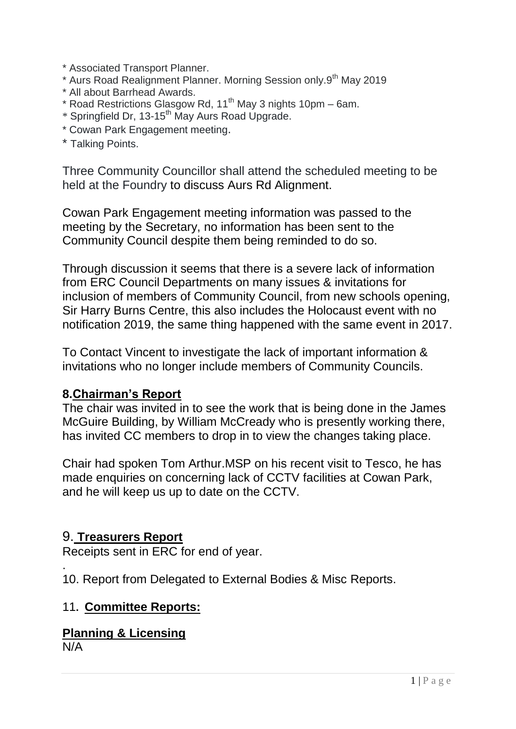- \* Associated Transport Planner.
- \* Aurs Road Realignment Planner. Morning Session only.9th May 2019
- \* All about Barrhead Awards.
- $*$  Road Restrictions Glasgow Rd, 11<sup>th</sup> May 3 nights 10pm 6am.
- \* Springfield Dr, 13-15th May Aurs Road Upgrade.
- \* Cowan Park Engagement meeting.
- \* Talking Points.

Three Community Councillor shall attend the scheduled meeting to be held at the Foundry to discuss Aurs Rd Alignment.

Cowan Park Engagement meeting information was passed to the meeting by the Secretary, no information has been sent to the Community Council despite them being reminded to do so.

Through discussion it seems that there is a severe lack of information from ERC Council Departments on many issues & invitations for inclusion of members of Community Council, from new schools opening, Sir Harry Burns Centre, this also includes the Holocaust event with no notification 2019, the same thing happened with the same event in 2017.

To Contact Vincent to investigate the lack of important information & invitations who no longer include members of Community Councils.

### **8.Chairman's Report**

The chair was invited in to see the work that is being done in the James McGuire Building, by William McCready who is presently working there, has invited CC members to drop in to view the changes taking place.

Chair had spoken Tom Arthur.MSP on his recent visit to Tesco, he has made enquiries on concerning lack of CCTV facilities at Cowan Park, and he will keep us up to date on the CCTV.

### 9. **Treasurers Report**

Receipts sent in ERC for end of year.

10. Report from Delegated to External Bodies & Misc Reports.

### 11**. Committee Reports:**

**Planning & Licensing**

N/A

.